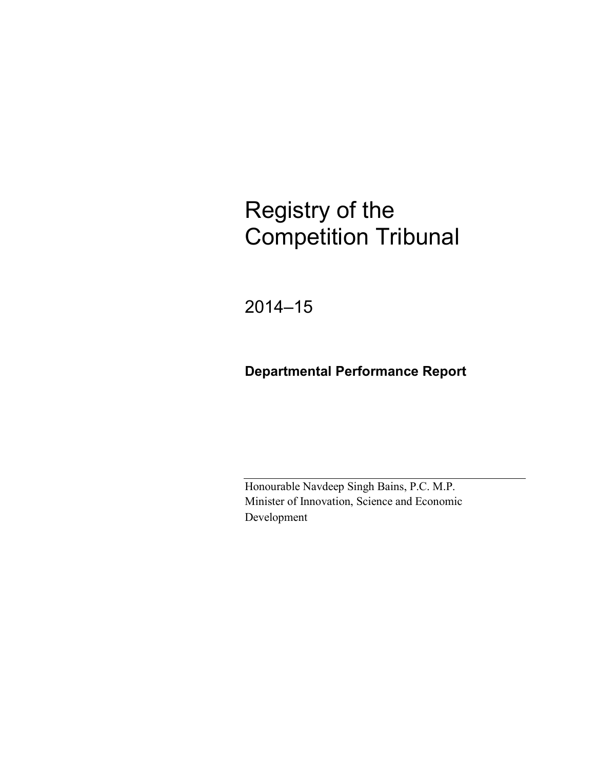# Registry of the Competition Tribunal

2014–15

## **Departmental Performance Report**

Honourable Navdeep Singh Bains, P.C. M.P. Minister of Innovation, Science and Economic Development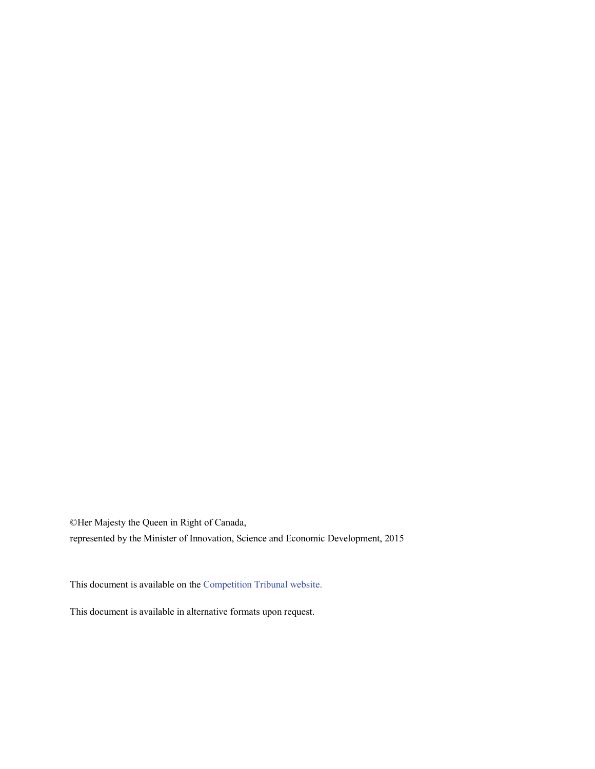©Her Majesty the Queen in Right of Canada,

represented by the Minister of Innovation, Science and Economic Development, 2015

This document is available on the [Competition Tribunal website.](http://www.ct-tc.gc.ca/)

This document is available in alternative formats upon request.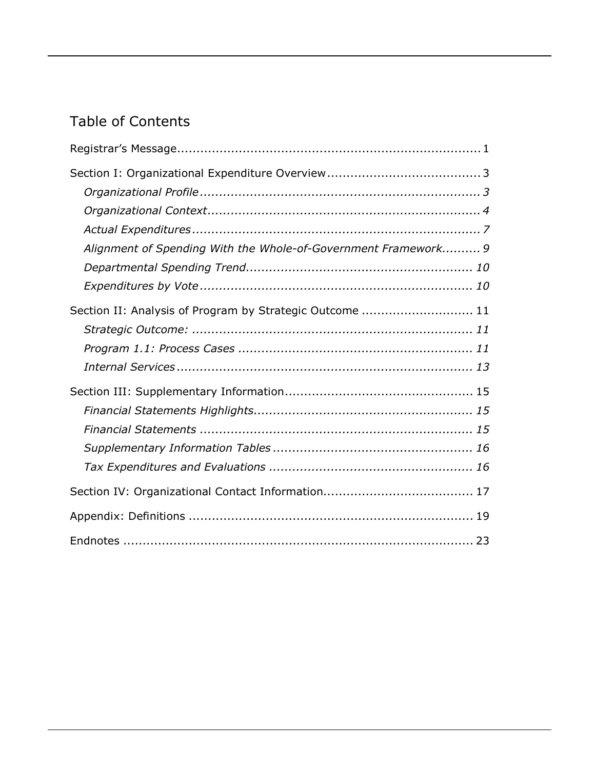# Table of Contents

| Alignment of Spending With the Whole-of-Government Framework 9 |  |
|----------------------------------------------------------------|--|
|                                                                |  |
|                                                                |  |
| Section II: Analysis of Program by Strategic Outcome  11       |  |
|                                                                |  |
|                                                                |  |
|                                                                |  |
|                                                                |  |
|                                                                |  |
|                                                                |  |
|                                                                |  |
|                                                                |  |
|                                                                |  |
|                                                                |  |
|                                                                |  |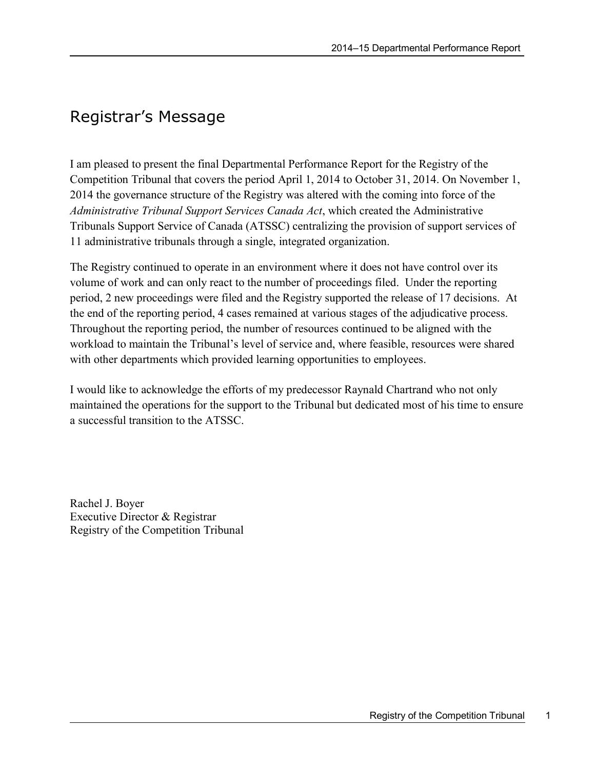# <span id="page-4-0"></span>Registrar's Message

I am pleased to present the final Departmental Performance Report for the Registry of the Competition Tribunal that covers the period April 1, 2014 to October 31, 2014. On November 1, 2014 the governance structure of the Registry was altered with the coming into force of the *Administrative Tribunal Support Services Canada Act*, which created the Administrative Tribunals Support Service of Canada (ATSSC) centralizing the provision of support services of 11 administrative tribunals through a single, integrated organization.

The Registry continued to operate in an environment where it does not have control over its volume of work and can only react to the number of proceedings filed. Under the reporting period, 2 new proceedings were filed and the Registry supported the release of 17 decisions. At the end of the reporting period, 4 cases remained at various stages of the adjudicative process. Throughout the reporting period, the number of resources continued to be aligned with the workload to maintain the Tribunal's level of service and, where feasible, resources were shared with other departments which provided learning opportunities to employees.

I would like to acknowledge the efforts of my predecessor Raynald Chartrand who not only maintained the operations for the support to the Tribunal but dedicated most of his time to ensure a successful transition to the ATSSC.

Rachel J. Boyer Executive Director & Registrar Registry of the Competition Tribunal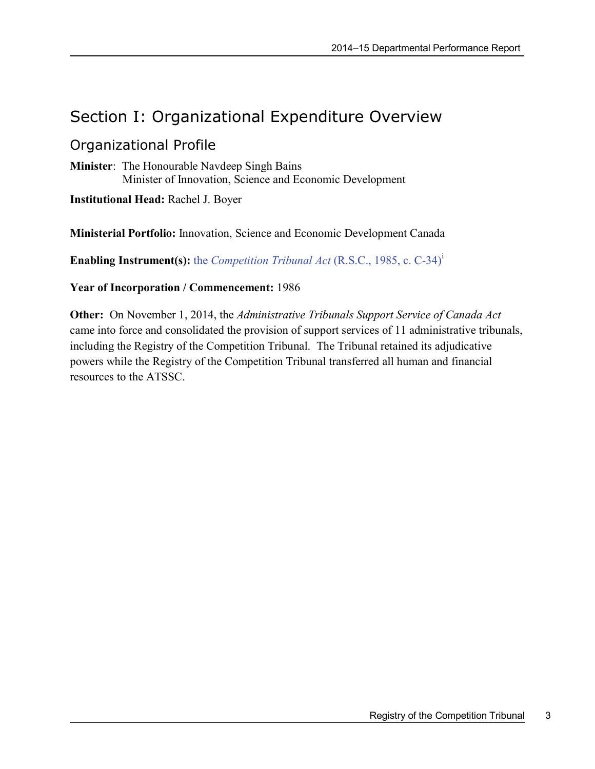# <span id="page-6-0"></span>Section I: Organizational Expenditure Overview

## <span id="page-6-1"></span>Organizational Profile

**Minister**: The Honourable Navdeep Singh Bains Minister of Innovation, Science and Economic Development

**Institutional Head:** Rachel J. Boyer

**Ministerial Portfolio:** Innovation, Science and Economic Development Canada

**Enabl[i](#page-26-1)ng Instrument(s):** the *Competition Tribunal Act* (R.S.C., 1985, c. C-34)<sup>1</sup>

#### **Year of Incorporation / Commencement:** 1986

**Other:** On November 1, 2014, the *Administrative Tribunals Support Service of Canada Act* came into force and consolidated the provision of support services of 11 administrative tribunals, including the Registry of the Competition Tribunal. The Tribunal retained its adjudicative powers while the Registry of the Competition Tribunal transferred all human and financial resources to the ATSSC.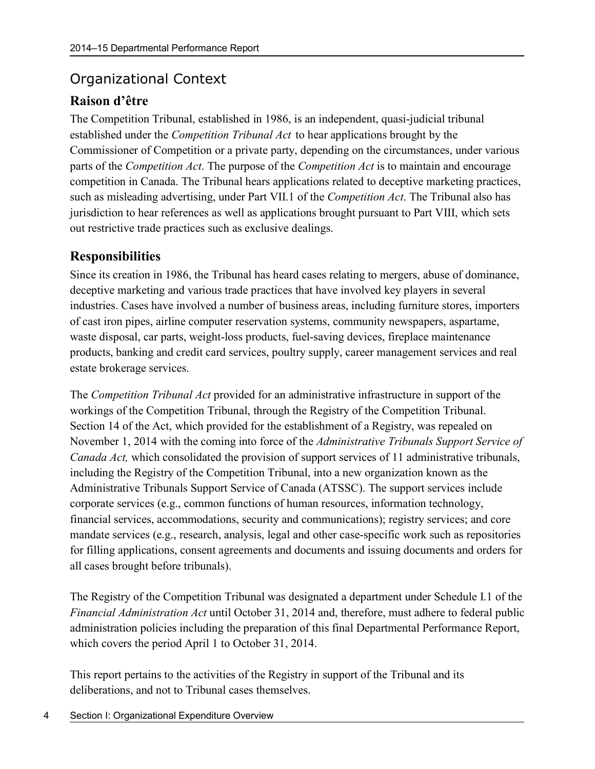## <span id="page-7-0"></span>Organizational Context

### **Raison d'être**

The Competition Tribunal, established in 1986, is an independent, quasi-judicial tribunal established under the *Competition Tribunal Act* to hear applications brought by the Commissioner of Competition or a private party, depending on the circumstances, under various parts of the *Competition Act*. The purpose of the *Competition Act* is to maintain and encourage competition in Canada. The Tribunal hears applications related to deceptive marketing practices, such as misleading advertising, under Part VII.1 of the *Competition Act*. The Tribunal also has jurisdiction to hear references as well as applications brought pursuant to Part VIII, which sets out restrictive trade practices such as exclusive dealings.

#### **Responsibilities**

Since its creation in 1986, the Tribunal has heard cases relating to mergers, abuse of dominance, deceptive marketing and various trade practices that have involved key players in several industries. Cases have involved a number of business areas, including furniture stores, importers of cast iron pipes, airline computer reservation systems, community newspapers, aspartame, waste disposal, car parts, weight-loss products, fuel-saving devices, fireplace maintenance products, banking and credit card services, poultry supply, career management services and real estate brokerage services.

The *Competition Tribunal Act* provided for an administrative infrastructure in support of the workings of the Competition Tribunal, through the Registry of the Competition Tribunal. Section 14 of the Act, which provided for the establishment of a Registry, was repealed on November 1, 2014 with the coming into force of the *Administrative Tribunals Support Service of Canada Act,* which consolidated the provision of support services of 11 administrative tribunals, including the Registry of the Competition Tribunal, into a new organization known as the Administrative Tribunals Support Service of Canada (ATSSC). The support services include corporate services (e.g., common functions of human resources, information technology, financial services, accommodations, security and communications); registry services; and core mandate services (e.g., research, analysis, legal and other case-specific work such as repositories for filling applications, consent agreements and documents and issuing documents and orders for all cases brought before tribunals).

The Registry of the Competition Tribunal was designated a department under Schedule I.1 of the *Financial Administration Act* until October 31, 2014 and, therefore, must adhere to federal public administration policies including the preparation of this final Departmental Performance Report, which covers the period April 1 to October 31, 2014.

This report pertains to the activities of the Registry in support of the Tribunal and its deliberations, and not to Tribunal cases themselves.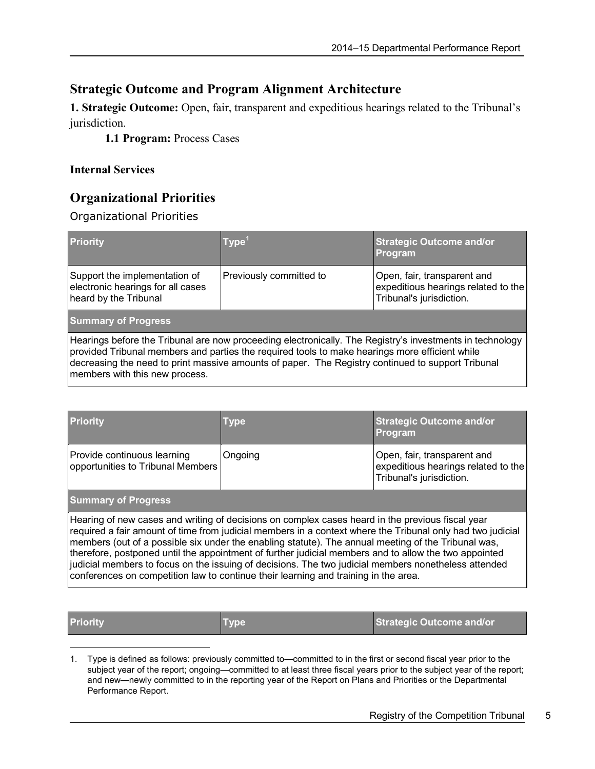#### **Strategic Outcome and Program Alignment Architecture**

**1. Strategic Outcome:** Open, fair, transparent and expeditious hearings related to the Tribunal's jurisdiction.

**1.1 Program:** Process Cases

#### **Internal Services**

### **Organizational Priorities**

Organizational Priorities

| <b>Priority</b>                                                                                                                                                                                                                                                                                                                                   | $ Type^1$               | <b>Strategic Outcome and/or</b><br><b>Program</b>                                              |  |  |
|---------------------------------------------------------------------------------------------------------------------------------------------------------------------------------------------------------------------------------------------------------------------------------------------------------------------------------------------------|-------------------------|------------------------------------------------------------------------------------------------|--|--|
| Support the implementation of<br>electronic hearings for all cases<br>heard by the Tribunal                                                                                                                                                                                                                                                       | Previously committed to | Open, fair, transparent and<br>expeditious hearings related to the<br>Tribunal's jurisdiction. |  |  |
| <b>Summary of Progress</b>                                                                                                                                                                                                                                                                                                                        |                         |                                                                                                |  |  |
| Hearings before the Tribunal are now proceeding electronically. The Registry's investments in technology<br>provided Tribunal members and parties the required tools to make hearings more efficient while<br>decreasing the need to print massive amounts of paper. The Registry continued to support Tribunal<br>members with this new process. |                         |                                                                                                |  |  |

| <b>Priority</b>                                                                                                                                                                                                                                                                                                                                                                                                                                                                                                                                                                                                               | Type    | <b>Strategic Outcome and/or</b><br>Program                                                     |  |
|-------------------------------------------------------------------------------------------------------------------------------------------------------------------------------------------------------------------------------------------------------------------------------------------------------------------------------------------------------------------------------------------------------------------------------------------------------------------------------------------------------------------------------------------------------------------------------------------------------------------------------|---------|------------------------------------------------------------------------------------------------|--|
| Provide continuous learning<br>opportunities to Tribunal Members                                                                                                                                                                                                                                                                                                                                                                                                                                                                                                                                                              | Ongoing | Open, fair, transparent and<br>expeditious hearings related to the<br>Tribunal's jurisdiction. |  |
| <b>Summary of Progress</b>                                                                                                                                                                                                                                                                                                                                                                                                                                                                                                                                                                                                    |         |                                                                                                |  |
| Hearing of new cases and writing of decisions on complex cases heard in the previous fiscal year<br>required a fair amount of time from judicial members in a context where the Tribunal only had two judicial<br>members (out of a possible six under the enabling statute). The annual meeting of the Tribunal was,<br>therefore, postponed until the appointment of further judicial members and to allow the two appointed<br>judicial members to focus on the issuing of decisions. The two judicial members nonetheless attended<br>conferences on competition law to continue their learning and training in the area. |         |                                                                                                |  |

 $\overline{a}$ 

**Priority Type Strategic Outcome** and/or **Priority Strategic Outcome** and/or

<span id="page-8-0"></span><sup>1.</sup> Type is defined as follows: previously committed to—committed to in the first or second fiscal year prior to the subject year of the report; ongoing—committed to at least three fiscal years prior to the subject year of the report; and new—newly committed to in the reporting year of the Report on Plans and Priorities or the Departmental Performance Report.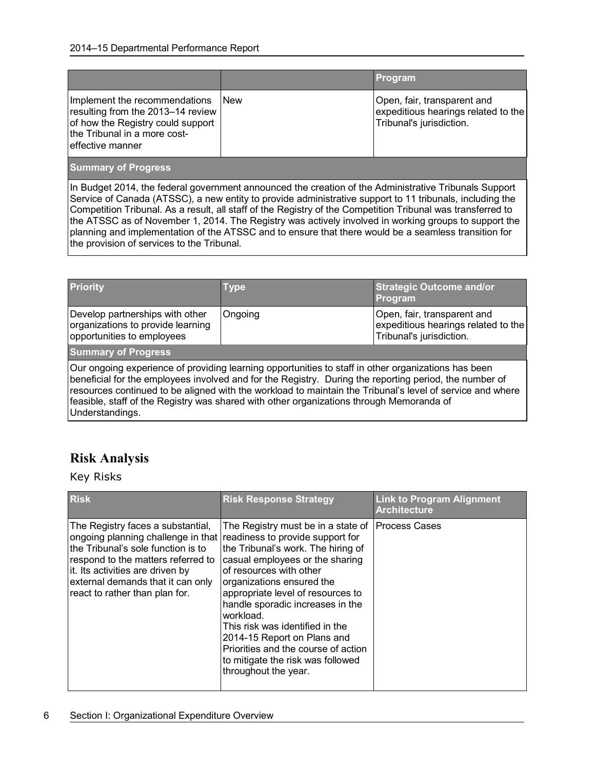|                                                                                                                                                             |             | Program                                                                                        |
|-------------------------------------------------------------------------------------------------------------------------------------------------------------|-------------|------------------------------------------------------------------------------------------------|
| Implement the recommendations<br>resulting from the 2013–14 review<br>of how the Registry could support<br>the Tribunal in a more cost-<br>effective manner | <b>INew</b> | Open, fair, transparent and<br>expeditious hearings related to the<br>Tribunal's jurisdiction. |

#### **Summary of Progress**

In Budget 2014, the federal government announced the creation of the Administrative Tribunals Support Service of Canada (ATSSC), a new entity to provide administrative support to 11 tribunals, including the Competition Tribunal. As a result, all staff of the Registry of the Competition Tribunal was transferred to the ATSSC as of November 1, 2014. The Registry was actively involved in working groups to support the planning and implementation of the ATSSC and to ensure that there would be a seamless transition for the provision of services to the Tribunal.

| <b>Priority</b>                                                                                                                                                                                                                                                                                                                                                                                                                           | <b>Type</b> | <b>Strategic Outcome and/or</b><br>Program                                                     |  |  |
|-------------------------------------------------------------------------------------------------------------------------------------------------------------------------------------------------------------------------------------------------------------------------------------------------------------------------------------------------------------------------------------------------------------------------------------------|-------------|------------------------------------------------------------------------------------------------|--|--|
| Develop partnerships with other<br>organizations to provide learning<br>opportunities to employees                                                                                                                                                                                                                                                                                                                                        | Ongoing     | Open, fair, transparent and<br>expeditious hearings related to the<br>Tribunal's jurisdiction. |  |  |
| <b>Summary of Progress</b>                                                                                                                                                                                                                                                                                                                                                                                                                |             |                                                                                                |  |  |
| Our ongoing experience of providing learning opportunities to staff in other organizations has been<br>beneficial for the employees involved and for the Registry. During the reporting period, the number of<br>resources continued to be aligned with the workload to maintain the Tribunal's level of service and where<br>feasible, staff of the Registry was shared with other organizations through Memoranda of<br>Understandings. |             |                                                                                                |  |  |

### **Risk Analysis**

Key Risks

| <b>Risk</b>                                                                                                                                                                                                                                                                                     | <b>Risk Response Strategy</b>                                                                                                                                                                                                                                                                                                                                                                                                   | <b>Link to Program Alignment</b><br><b>Architecture</b> |
|-------------------------------------------------------------------------------------------------------------------------------------------------------------------------------------------------------------------------------------------------------------------------------------------------|---------------------------------------------------------------------------------------------------------------------------------------------------------------------------------------------------------------------------------------------------------------------------------------------------------------------------------------------------------------------------------------------------------------------------------|---------------------------------------------------------|
| The Registry faces a substantial,<br>ongoing planning challenge in that readiness to provide support for<br>the Tribunal's sole function is to<br>respond to the matters referred to<br>it. Its activities are driven by<br>external demands that it can only<br>react to rather than plan for. | The Registry must be in a state of<br>the Tribunal's work. The hiring of<br>casual employees or the sharing<br>of resources with other<br>organizations ensured the<br>appropriate level of resources to<br>handle sporadic increases in the<br>workload.<br>This risk was identified in the<br>2014-15 Report on Plans and<br>Priorities and the course of action<br>to mitigate the risk was followed<br>throughout the year. | <b>Process Cases</b>                                    |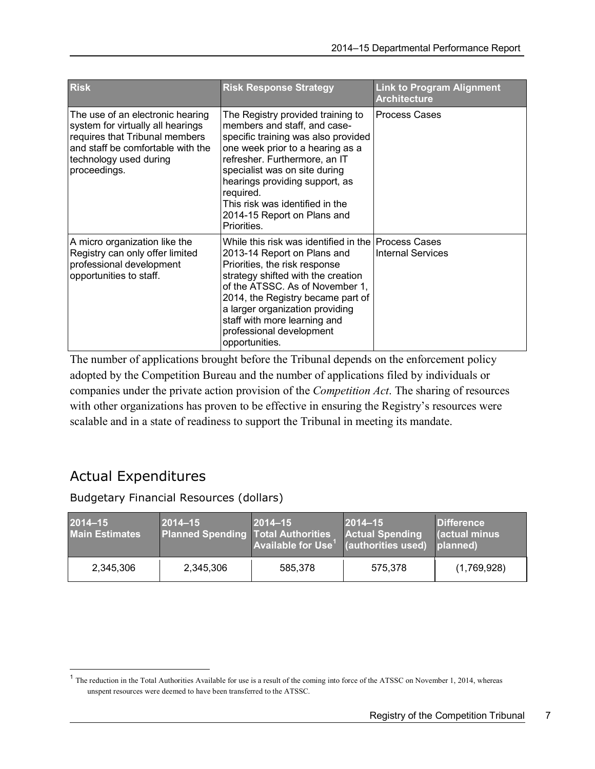| <b>Risk</b>                                                                                                                                                                            | <b>Risk Response Strategy</b>                                                                                                                                                                                                                                                                                                                      | <b>Link to Program Alignment</b><br><b>Architecture</b> |
|----------------------------------------------------------------------------------------------------------------------------------------------------------------------------------------|----------------------------------------------------------------------------------------------------------------------------------------------------------------------------------------------------------------------------------------------------------------------------------------------------------------------------------------------------|---------------------------------------------------------|
| The use of an electronic hearing<br>system for virtually all hearings<br>requires that Tribunal members<br>and staff be comfortable with the<br>technology used during<br>proceedings. | The Registry provided training to<br>members and staff, and case-<br>specific training was also provided<br>one week prior to a hearing as a<br>refresher. Furthermore, an IT<br>specialist was on site during<br>hearings providing support, as<br>required.<br>This risk was identified in the<br>2014-15 Report on Plans and<br>Priorities.     | <b>Process Cases</b>                                    |
| A micro organization like the<br>Registry can only offer limited<br>professional development<br>opportunities to staff.                                                                | While this risk was identified in the Process Cases<br>2013-14 Report on Plans and<br>Priorities, the risk response<br>strategy shifted with the creation<br>of the ATSSC. As of November 1,<br>2014, the Registry became part of<br>a larger organization providing<br>staff with more learning and<br>professional development<br>opportunities. | <b>Internal Services</b>                                |

The number of applications brought before the Tribunal depends on the enforcement policy adopted by the Competition Bureau and the number of applications filed by individuals or companies under the private action provision of the *Competition Act*. The sharing of resources with other organizations has proven to be effective in ensuring the Registry's resources were scalable and in a state of readiness to support the Tribunal in meeting its mandate.

# <span id="page-10-0"></span>Actual Expenditures

 $\overline{a}$ 

Budgetary Financial Resources (dollars)

| 2014-15<br><b>Main Estimates</b> | $2014 - 15$<br><b>Planned Spending Total Authorities</b> | $ 2014 - 15 $<br>Available for $Use1$ (authorities used) | $ 2014 - 15 $<br><b>Actual Spending</b> | <b>Difference</b><br><b>actual minus</b><br>planned) |
|----------------------------------|----------------------------------------------------------|----------------------------------------------------------|-----------------------------------------|------------------------------------------------------|
| 2,345,306                        | 2,345,306                                                | 585.378                                                  | 575.378                                 | (1,769,928)                                          |

<span id="page-10-1"></span><sup>&</sup>lt;sup>1</sup> The reduction in the Total Authorities Available for use is a result of the coming into force of the ATSSC on November 1, 2014, whereas unspent resources were deemed to have been transferred to the ATSSC.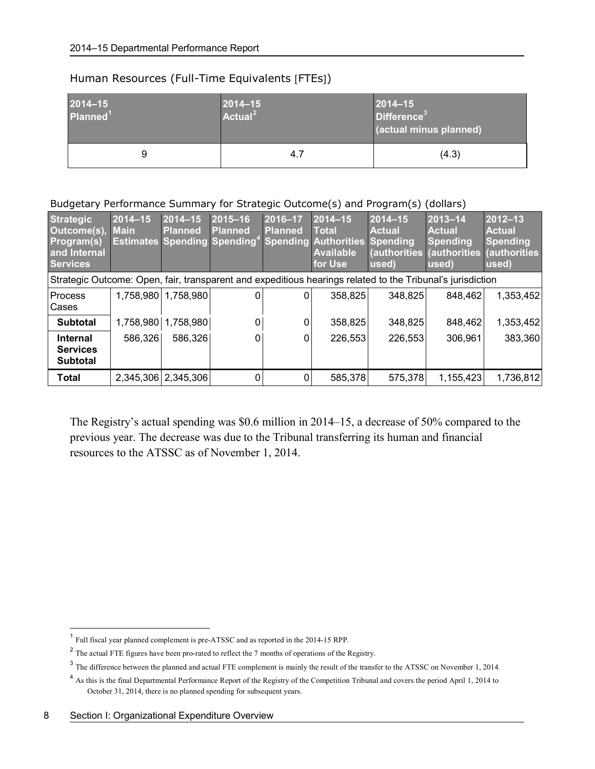#### Human Resources (Full-Time Equivalents [FTEs])

| $2014 - 15$<br>$ 2014 - 15 $<br>$ $ Actual <sup>2</sup><br>Planned <sup>1</sup> |   |     | $ 2014 - 15 $<br>Difference <sup>3</sup><br>(actual minus planned) |
|---------------------------------------------------------------------------------|---|-----|--------------------------------------------------------------------|
|                                                                                 | 9 | 4.7 | (4.3)                                                              |

#### Budgetary Performance Summary for Strategic Outcome(s) and Program(s) (dollars)

| <b>Strategic</b><br>Outcome(s),<br><b>Program(s)</b><br>and Internal<br><b>Services</b>                    | 2014-15<br><b>Main</b> | $2014 - 15$<br><b>Planned</b> | $2015 - 16$<br><b>Planned</b><br><b>Estimates Spending Spending<sup>4</sup></b> | 2016-17<br>Planned | $2014 - 15$<br><b>Total</b><br><b>Spending Authorities</b><br><b>Available</b><br>for Use | $2014 - 15$<br><b>Actual</b><br>Spending<br>used) | $ 2013 - 14 $<br><b>Actual</b><br>Spending<br>(authorities (authorities<br>used) | 2012-13<br><b>Actual</b><br><b>Spending</b><br>(authorities<br>used) |
|------------------------------------------------------------------------------------------------------------|------------------------|-------------------------------|---------------------------------------------------------------------------------|--------------------|-------------------------------------------------------------------------------------------|---------------------------------------------------|----------------------------------------------------------------------------------|----------------------------------------------------------------------|
| Strategic Outcome: Open, fair, transparent and expeditious hearings related to the Tribunal's jurisdiction |                        |                               |                                                                                 |                    |                                                                                           |                                                   |                                                                                  |                                                                      |
| Process<br>Cases                                                                                           |                        | 1,758,980 1,758,980           | 0                                                                               | 0                  | 358,825                                                                                   | 348,825                                           | 848,462                                                                          | 1,353,452                                                            |
| <b>Subtotal</b>                                                                                            | 1,758,980              | 1,758,980                     | 0                                                                               |                    | 358,825                                                                                   | 348,825                                           | 848,462                                                                          | 1,353,452                                                            |
| <b>Internal</b><br><b>Services</b><br><b>Subtotal</b>                                                      | 586,326                | 586,326                       | 0                                                                               | 0                  | 226,553                                                                                   | 226,553                                           | 306,961                                                                          | 383,360                                                              |
| <b>Total</b>                                                                                               |                        | 2,345,306 2,345,306           | $\Omega$                                                                        |                    | 585,378                                                                                   | 575,378                                           | 1,155,423                                                                        | 1,736,812                                                            |

The Registry's actual spending was \$0.6 million in 2014–15, a decrease of 50% compared to the previous year. The decrease was due to the Tribunal transferring its human and financial resources to the ATSSC as of November 1, 2014.

 $<sup>1</sup>$  Full fiscal year planned complement is pre-ATSSC and as reported in the 2014-15 RPP.</sup>  $\overline{a}$ 

<span id="page-11-1"></span><span id="page-11-0"></span><sup>&</sup>lt;sup>2</sup> The actual FTE figures have been pro-rated to reflect the 7 months of operations of the Registry.

<span id="page-11-2"></span><sup>&</sup>lt;sup>3</sup> The difference between the planned and actual FTE complement is mainly the result of the transfer to the ATSSC on November 1, 2014.

<span id="page-11-3"></span><sup>&</sup>lt;sup>4</sup> As this is the final Departmental Performance Report of the Registry of the Competition Tribunal and covers the period April 1, 2014 to October 31, 2014, there is no planned spending for subsequent years.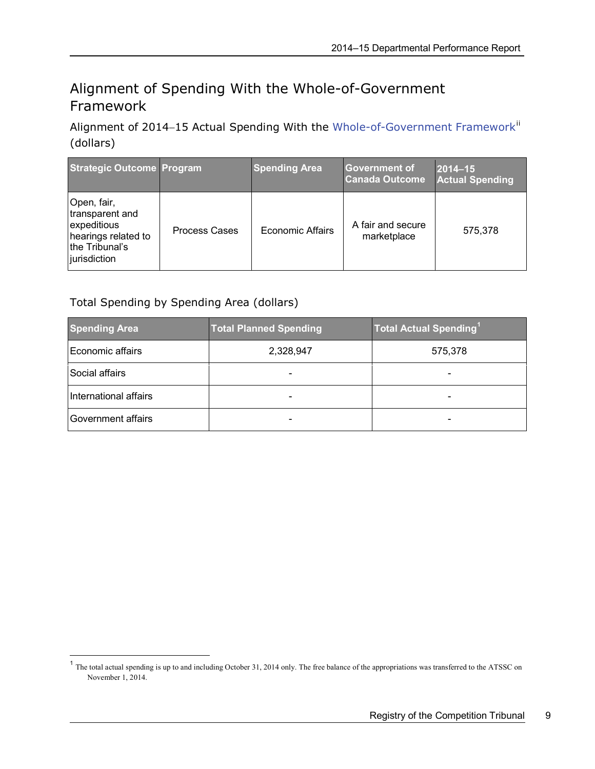# <span id="page-12-0"></span>Alignment of Spending With the Whole-of-Government Framework

Alignment of 2014-15 Actual Spending With the [Whole-of-Government](http://www.tbs-sct.gc.ca/ppg-cpr/frame-cadre-eng.aspx) Framework<sup>[ii](#page-26-2)</sup> (dollars)

| <b>Strategic Outcome Program</b>                                                                       |                      | <b>Spending Area</b>    | Government of<br><b>Canada Outcome</b> | $ 2014 - 15 $<br><b>Actual Spending</b> |
|--------------------------------------------------------------------------------------------------------|----------------------|-------------------------|----------------------------------------|-----------------------------------------|
| Open, fair,<br>transparent and<br>expeditious<br>hearings related to<br>the Tribunal's<br>jurisdiction | <b>Process Cases</b> | <b>Economic Affairs</b> | A fair and secure<br>marketplace       | 575.378                                 |

Total Spending by Spending Area (dollars)

 $\overline{a}$ 

| <b>Spending Area</b>  | <b>Total Planned Spending</b> | <b>Total Actual Spending</b> <sup>1</sup> |
|-----------------------|-------------------------------|-------------------------------------------|
| Economic affairs      | 2,328,947                     | 575,378                                   |
| Social affairs        |                               |                                           |
| International affairs |                               |                                           |
| Government affairs    |                               |                                           |

<span id="page-12-1"></span> $<sup>1</sup>$  The total actual spending is up to and including October 31, 2014 only. The free balance of the appropriations was transferred to the ATSSC on</sup> November 1, 2014.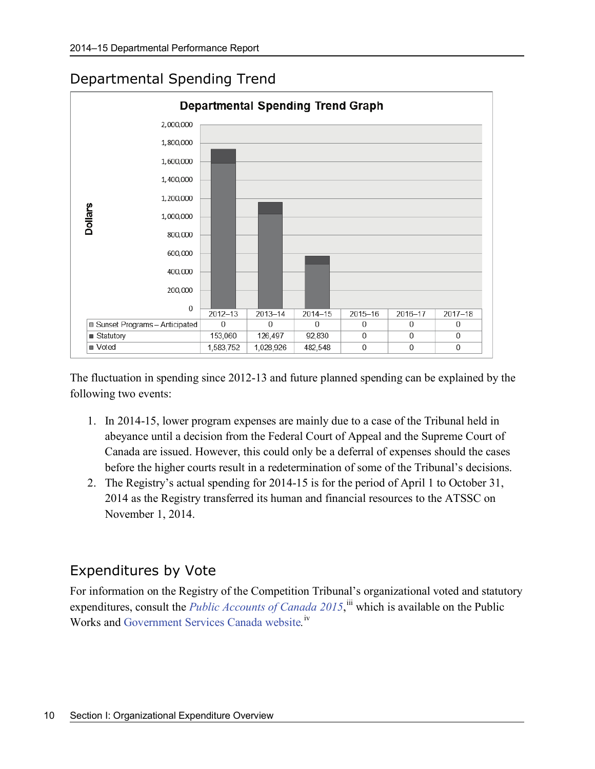# <span id="page-13-0"></span>Departmental Spending Trend



The fluctuation in spending since 2012-13 and future planned spending can be explained by the following two events:

- 1. In 2014-15, lower program expenses are mainly due to a case of the Tribunal held in abeyance until a decision from the Federal Court of Appeal and the Supreme Court of Canada are issued. However, this could only be a deferral of expenses should the cases before the higher courts result in a redetermination of some of the Tribunal's decisions.
- 2. The Registry's actual spending for 2014-15 is for the period of April 1 to October 31, 2014 as the Registry transferred its human and financial resources to the ATSSC on November 1, 2014.

## <span id="page-13-1"></span>Expenditures by Vote

For information on the Registry of the Competition Tribunal's organizational voted and statutory expenditures, consult the *[Public Accounts of Canada 2015](http://www.tpsgc-pwgsc.gc.ca/recgen/cpc-pac/index-eng.html)*, ii which is available on the Public Works and [Government Services Canada website](http://www.tpsgc-pwgsc.gc.ca/recgen/cpc-pac/index-eng.html).<sup>[iv](#page-26-4)</sup>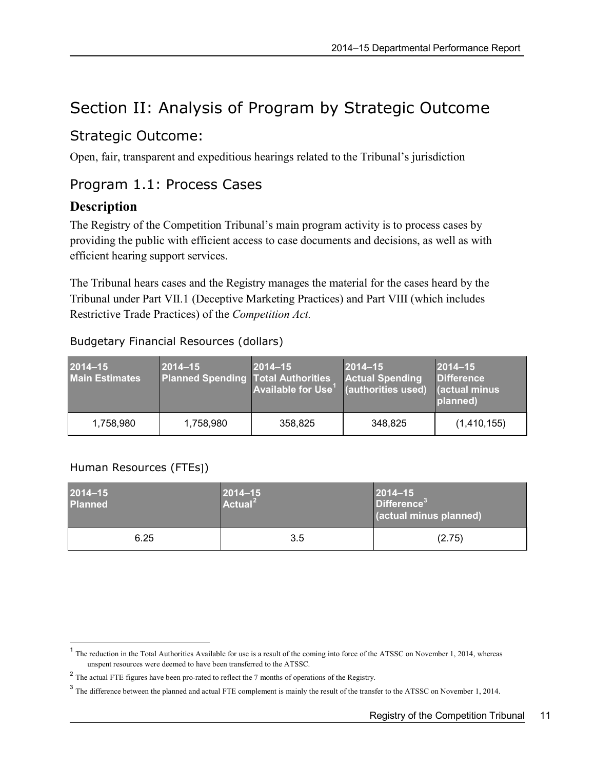# <span id="page-14-0"></span>Section II: Analysis of Program by Strategic Outcome

## <span id="page-14-1"></span>Strategic Outcome:

Open, fair, transparent and expeditious hearings related to the Tribunal's jurisdiction

### <span id="page-14-2"></span>Program 1.1: Process Cases

### **Description**

The Registry of the Competition Tribunal's main program activity is to process cases by providing the public with efficient access to case documents and decisions, as well as with efficient hearing support services.

The Tribunal hears cases and the Registry manages the material for the cases heard by the Tribunal under Part VII.1 (Deceptive Marketing Practices) and Part VIII (which includes Restrictive Trade Practices) of the *Competition Act.*

#### Budgetary Financial Resources (dollars)

| 2014-15<br><b>Main Estimates</b> | $ 2014 - 15 $<br><b>Planned Spending Total Authorities</b> | $2014 - 15$<br><b>Available for Use<sup>1</sup></b> (authorities used) | $ 2014 - 15 $<br><b>Actual Spending</b> | $ 2014 - 15 $<br><b>Difference</b><br>Gactual minus<br>planned) |
|----------------------------------|------------------------------------------------------------|------------------------------------------------------------------------|-----------------------------------------|-----------------------------------------------------------------|
| 1,758,980                        | 1,758,980                                                  | 358,825                                                                | 348,825                                 | (1,410,155)                                                     |

#### Human Resources (FTEs])

 $\overline{a}$ 

| 2014-15<br><b>Planned</b> | $ 2014 - 15 $<br>$ $ Actual <sup>2</sup> | $ 2014 - 15 $<br>Difference <sup>3</sup><br>(actual minus planned) |
|---------------------------|------------------------------------------|--------------------------------------------------------------------|
| 6.25                      | 3.5                                      | (2.75)                                                             |

<span id="page-14-3"></span><sup>&</sup>lt;sup>1</sup> The reduction in the Total Authorities Available for use is a result of the coming into force of the ATSSC on November 1, 2014, whereas unspent resources were deemed to have been transferred to the ATSSC.

<span id="page-14-4"></span><sup>&</sup>lt;sup>2</sup> The actual FTE figures have been pro-rated to reflect the 7 months of operations of the Registry.

<span id="page-14-5"></span><sup>&</sup>lt;sup>3</sup> The difference between the planned and actual FTE complement is mainly the result of the transfer to the ATSSC on November 1, 2014.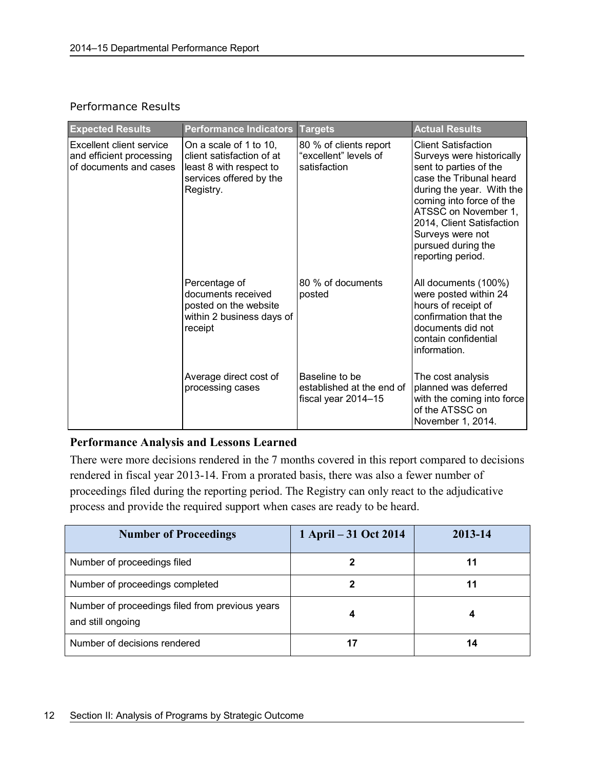#### Performance Results

| <b>Expected Results</b>                                                                                                                                                                                  | <b>Performance Indicators</b>                                                                        | <b>Targets</b>                                                     | <b>Actual Results</b>                                                                                                                                                                                                                                                                     |
|----------------------------------------------------------------------------------------------------------------------------------------------------------------------------------------------------------|------------------------------------------------------------------------------------------------------|--------------------------------------------------------------------|-------------------------------------------------------------------------------------------------------------------------------------------------------------------------------------------------------------------------------------------------------------------------------------------|
| Excellent client service<br>On a scale of 1 to 10,<br>and efficient processing<br>client satisfaction of at<br>of documents and cases<br>least 8 with respect to<br>services offered by the<br>Registry. |                                                                                                      | 80 % of clients report<br>"excellent" levels of<br>satisfaction    | <b>Client Satisfaction</b><br>Surveys were historically<br>sent to parties of the<br>case the Tribunal heard<br>during the year. With the<br>coming into force of the<br>ATSSC on November 1,<br>2014, Client Satisfaction<br>Surveys were not<br>pursued during the<br>reporting period. |
|                                                                                                                                                                                                          | Percentage of<br>documents received<br>posted on the website<br>within 2 business days of<br>receipt | 80 % of documents<br>posted                                        | All documents (100%)<br>were posted within 24<br>hours of receipt of<br>confirmation that the<br>documents did not<br>contain confidential<br>information.                                                                                                                                |
|                                                                                                                                                                                                          | Average direct cost of<br>processing cases                                                           | Baseline to be<br>established at the end of<br>fiscal year 2014-15 | The cost analysis<br>planned was deferred<br>with the coming into force<br>of the ATSSC on<br>November 1, 2014.                                                                                                                                                                           |

#### **Performance Analysis and Lessons Learned**

There were more decisions rendered in the 7 months covered in this report compared to decisions rendered in fiscal year 2013-14. From a prorated basis, there was also a fewer number of proceedings filed during the reporting period. The Registry can only react to the adjudicative process and provide the required support when cases are ready to be heard.

| <b>Number of Proceedings</b>                                         | 1 April – 31 Oct 2014 | 2013-14 |
|----------------------------------------------------------------------|-----------------------|---------|
| Number of proceedings filed                                          |                       | 11      |
| Number of proceedings completed                                      |                       | 11      |
| Number of proceedings filed from previous years<br>and still ongoing |                       |         |
| Number of decisions rendered                                         | 17                    | 14      |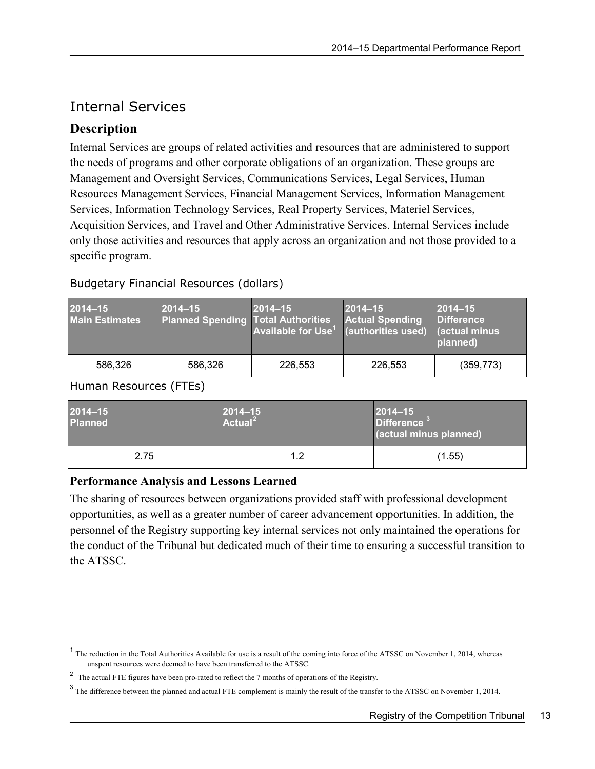## <span id="page-16-0"></span>Internal Services

### **Description**

Internal Services are groups of related activities and resources that are administered to support the needs of programs and other corporate obligations of an organization. These groups are Management and Oversight Services, Communications Services, Legal Services, Human Resources Management Services, Financial Management Services, Information Management Services, Information Technology Services, Real Property Services, Materiel Services, Acquisition Services, and Travel and Other Administrative Services. Internal Services include only those activities and resources that apply across an organization and not those provided to a specific program.

| 2014-15<br><b>Main Estimates</b> | $ 2014 - 15 $<br><b>Planned Spending Total Authorities</b> | $2014 - 15$<br><b>Available for Use<sup>1</sup></b> | $ 2014 - 15 $<br><b>Actual Spending</b><br>(authorities used) | $2014 - 15$<br><b>Difference</b><br><b>actual minus</b><br>planned) |
|----------------------------------|------------------------------------------------------------|-----------------------------------------------------|---------------------------------------------------------------|---------------------------------------------------------------------|
| 586,326                          | 586,326                                                    | 226,553                                             | 226,553                                                       | (359, 773)                                                          |

#### Budgetary Financial Resources (dollars)

#### Human Resources (FTEs)

 $\overline{a}$ 

| 2014-15<br><b>Planned</b> | $ 2014 - 15 $<br>$\sqrt{2}$ Actual <sup>2</sup> | $ 2014 - 15 $<br>Difference <sup>3</sup><br>(actual minus planned) |  |
|---------------------------|-------------------------------------------------|--------------------------------------------------------------------|--|
| 2.75                      | 1.2                                             | (1.55)                                                             |  |

#### **Performance Analysis and Lessons Learned**

The sharing of resources between organizations provided staff with professional development opportunities, as well as a greater number of career advancement opportunities. In addition, the personnel of the Registry supporting key internal services not only maintained the operations for the conduct of the Tribunal but dedicated much of their time to ensuring a successful transition to the ATSSC.

<span id="page-16-1"></span> $<sup>1</sup>$  The reduction in the Total Authorities Available for use is a result of the coming into force of the ATSSC on November 1, 2014, whereas</sup> unspent resources were deemed to have been transferred to the ATSSC.

<span id="page-16-2"></span><sup>&</sup>lt;sup>2</sup> The actual FTE figures have been pro-rated to reflect the 7 months of operations of the Registry.

<span id="page-16-3"></span><sup>&</sup>lt;sup>3</sup> The difference between the planned and actual FTE complement is mainly the result of the transfer to the ATSSC on November 1, 2014.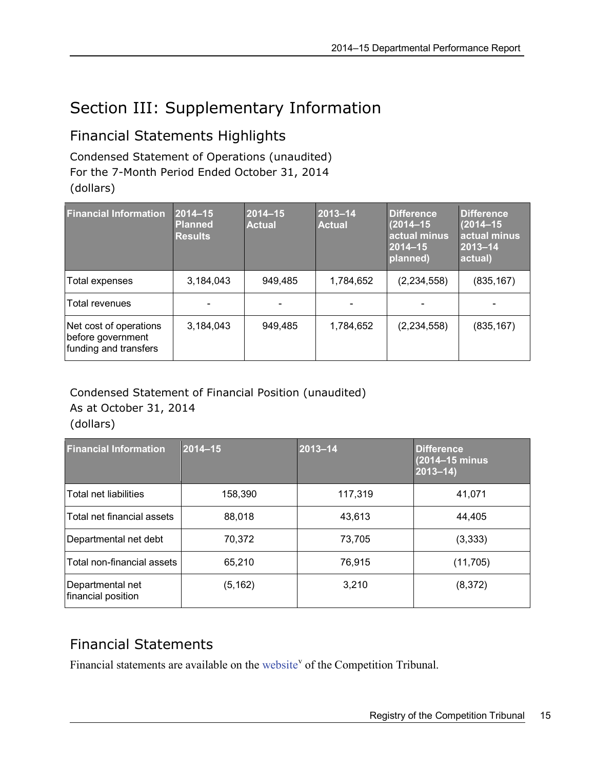# <span id="page-18-0"></span>Section III: Supplementary Information

# <span id="page-18-1"></span>Financial Statements Highlights

Condensed Statement of Operations (unaudited) For the 7-Month Period Ended October 31, 2014 (dollars)

| <b>Financial Information</b>                                         | $2014 - 15$<br><b>Planned</b><br><b>Results</b> | $2014 - 15$<br><b>Actual</b> | 2013-14<br><b>Actual</b> | <b>Difference</b><br>$(2014 - 15)$<br>actual minus<br>$2014 - 15$<br>planned) | <b>Difference</b><br>$(2014 - 15)$<br>actual minus<br>$ 2013 - 14 $<br>actual) |
|----------------------------------------------------------------------|-------------------------------------------------|------------------------------|--------------------------|-------------------------------------------------------------------------------|--------------------------------------------------------------------------------|
| Total expenses                                                       | 3,184,043                                       | 949,485                      | 1,784,652                | (2,234,558)                                                                   | (835, 167)                                                                     |
| Total revenues                                                       |                                                 |                              |                          |                                                                               |                                                                                |
| Net cost of operations<br>before government<br>funding and transfers | 3,184,043                                       | 949,485                      | 1,784,652                | (2,234,558)                                                                   | (835, 167)                                                                     |

### Condensed Statement of Financial Position (unaudited) As at October 31, 2014

(dollars)

| <b>Financial Information</b>           | $2014 - 15$ | 2013-14 | <b>Difference</b><br>$(2014 - 15 \text{ minus})$<br>$ 2013 - 14 $ |
|----------------------------------------|-------------|---------|-------------------------------------------------------------------|
| Total net liabilities                  | 158,390     | 117,319 | 41,071                                                            |
| Total net financial assets             | 88,018      | 43,613  | 44.405                                                            |
| Departmental net debt                  | 70,372      | 73,705  | (3, 333)                                                          |
| Total non-financial assets             | 65,210      | 76,915  | (11, 705)                                                         |
| Departmental net<br>financial position | (5, 162)    | 3,210   | (8,372)                                                           |

# <span id="page-18-2"></span>Financial Statements

Financial statements are available on the [website](http://www.ct-tc.gc.ca/ResourcesRessources/DepartmentalReports-eng.asp)<sup>[v](#page-26-5)</sup> of the Competition Tribunal.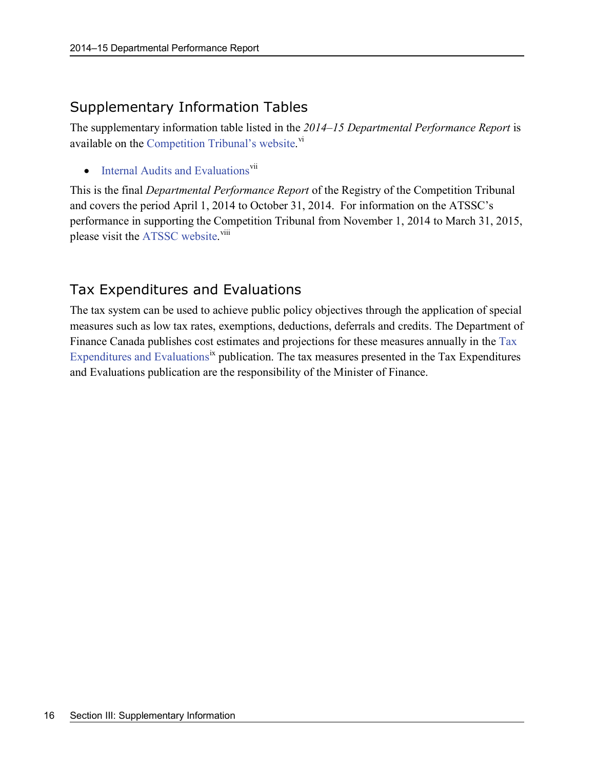## <span id="page-19-0"></span>Supplementary Information Tables

The supplementary information table listed in the *2014–15 Departmental Performance Report* is available on the [Competition Tribunal's website.](http://www.ct-tc.gc.ca/ResourcesRessources/DepartmentalReports-eng.asp)<sup>[vi](#page-26-6)</sup>

 $\bullet$  [Internal Audits and Evaluations](http://www.ct-tc.gc.ca/ResourcesRessources/DepartmentalReports-eng.asp)<sup>[vii](#page-26-7)</sup>

This is the final *Departmental Performance Report* of the Registry of the Competition Tribunal and covers the period April 1, 2014 to October 31, 2014. For information on the ATSSC's performance in supporting the Competition Tribunal from November 1, 2014 to March 31, 2015, please visit the [ATSSC website.](http://www.canada.ca/en/gov/dept/atssc/)<sup>[viii](#page-26-8)</sup>

# <span id="page-19-1"></span>Tax Expenditures and Evaluations

The tax system can be used to achieve public policy objectives through the application of special measures such as low tax rates, exemptions, deductions, deferrals and credits. The Department of Finance Canada publishes cost estimates and projections for these measures annually in the [Tax](http://www.fin.gc.ca/purl/taxexp-eng.asp)  [Expenditures and Evaluations](http://www.fin.gc.ca/purl/taxexp-eng.asp)<sup>[ix](#page-26-9)</sup> publication. The tax measures presented in the Tax Expenditures and Evaluations publication are the responsibility of the Minister of Finance.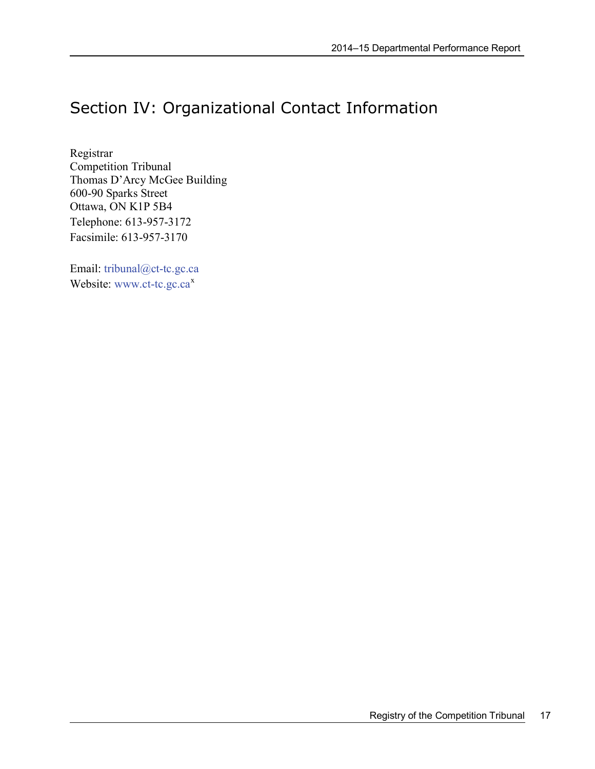# <span id="page-20-0"></span>Section IV: Organizational Contact Information

Registrar Competition Tribunal Thomas D'Arcy McGee Building 600-90 Sparks Street Ottawa, ON K1P 5B4 Telephone: 613-957-3172 Facsimile: 613-957-3170

Email: [tribunal@ct-tc.gc.ca](mailto:tribunal@ct-tc.gc.ca) Website: [www.ct-tc.gc.ca](http://www.ct-tc.gc.ca/)<sup>[x](#page-26-10)</sup>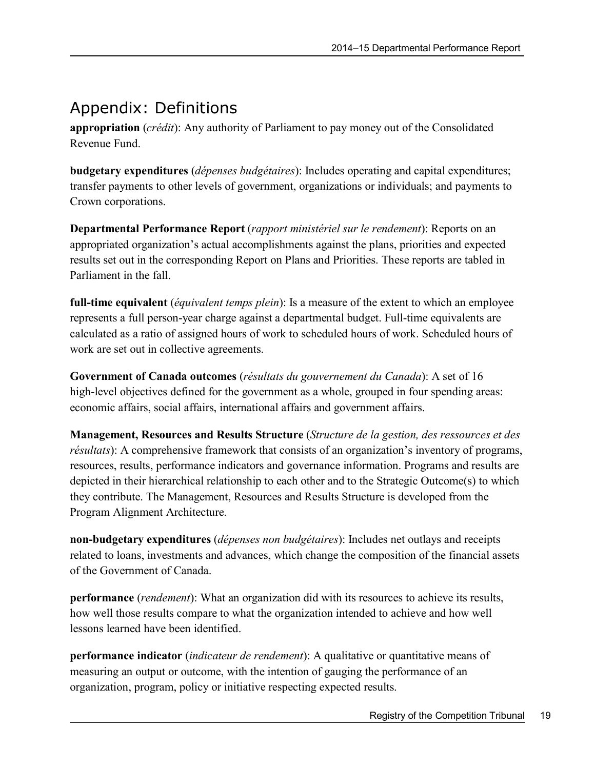# <span id="page-22-0"></span>Appendix: Definitions

**appropriation** (*crédit*): Any authority of Parliament to pay money out of the Consolidated Revenue Fund.

**budgetary expenditures** (*dépenses budgétaires*): Includes operating and capital expenditures; transfer payments to other levels of government, organizations or individuals; and payments to Crown corporations.

**Departmental Performance Report** (*rapport ministériel sur le rendement*): Reports on an appropriated organization's actual accomplishments against the plans, priorities and expected results set out in the corresponding Report on Plans and Priorities. These reports are tabled in Parliament in the fall.

**full-time equivalent** (*équivalent temps plein*): Is a measure of the extent to which an employee represents a full person-year charge against a departmental budget. Full-time equivalents are calculated as a ratio of assigned hours of work to scheduled hours of work. Scheduled hours of work are set out in collective agreements.

**Government of Canada outcomes** (*résultats du gouvernement du Canada*): A set of 16 high-level objectives defined for the government as a whole, grouped in [four spending areas:](http://www.tbs-sct.gc.ca/ppg-cpr/frame-cadre-eng.aspx) economic affairs, social affairs, international affairs and government affairs.

**Management, Resources and Results Structure** (*Structure de la gestion, des ressources et des résultats*): A comprehensive framework that consists of an organization's inventory of programs, resources, results, performance indicators and governance information. Programs and results are depicted in their hierarchical relationship to each other and to the Strategic Outcome(s) to which they contribute. The Management, Resources and Results Structure is developed from the Program Alignment Architecture.

**non-budgetary expenditures** (*dépenses non budgétaires*): Includes net outlays and receipts related to loans, investments and advances, which change the composition of the financial assets of the Government of Canada.

**performance** (*rendement*): What an organization did with its resources to achieve its results, how well those results compare to what the organization intended to achieve and how well lessons learned have been identified.

**performance indicator** (*indicateur de rendement*): A qualitative or quantitative means of measuring an output or outcome, with the intention of gauging the performance of an organization, program, policy or initiative respecting expected results.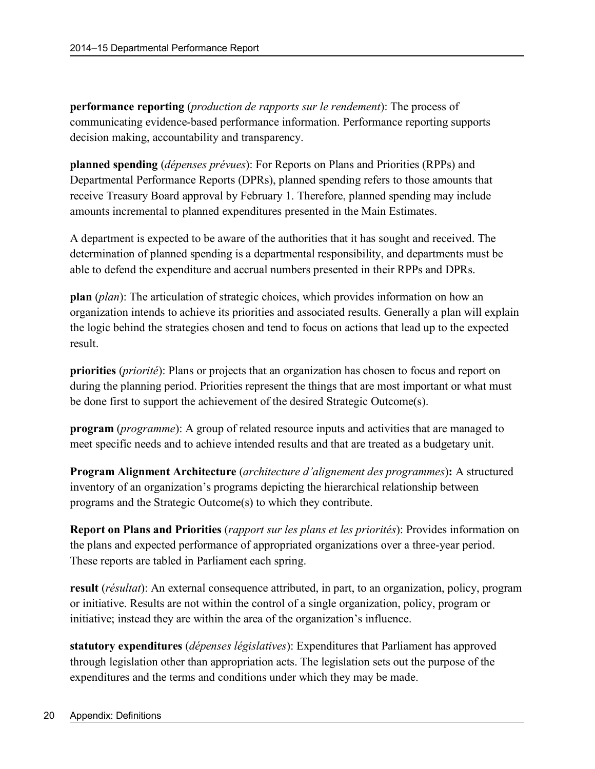**performance reporting** (*production de rapports sur le rendement*): The process of communicating evidence-based performance information. Performance reporting supports decision making, accountability and transparency.

**planned spending** (*dépenses prévues*): For Reports on Plans and Priorities (RPPs) and Departmental Performance Reports (DPRs), planned spending refers to those amounts that receive Treasury Board approval by February 1. Therefore, planned spending may include amounts incremental to planned expenditures presented in the Main Estimates.

A department is expected to be aware of the authorities that it has sought and received. The determination of planned spending is a departmental responsibility, and departments must be able to defend the expenditure and accrual numbers presented in their RPPs and DPRs.

**plan** (*plan*): The articulation of strategic choices, which provides information on how an organization intends to achieve its priorities and associated results. Generally a plan will explain the logic behind the strategies chosen and tend to focus on actions that lead up to the expected result.

**priorities** (*priorité*): Plans or projects that an organization has chosen to focus and report on during the planning period. Priorities represent the things that are most important or what must be done first to support the achievement of the desired Strategic Outcome(s).

**program** (*programme*): A group of related resource inputs and activities that are managed to meet specific needs and to achieve intended results and that are treated as a budgetary unit.

**Program Alignment Architecture** (*architecture d'alignement des programmes*)**:** A structured inventory of an organization's programs depicting the hierarchical relationship between programs and the Strategic Outcome(s) to which they contribute.

**Report on Plans and Priorities** (*rapport sur les plans et les priorités*): Provides information on the plans and expected performance of appropriated organizations over a three-year period. These reports are tabled in Parliament each spring.

**result** (*résultat*): An external consequence attributed, in part, to an organization, policy, program or initiative. Results are not within the control of a single organization, policy, program or initiative; instead they are within the area of the organization's influence.

**statutory expenditures** (*dépenses législatives*): Expenditures that Parliament has approved through legislation other than appropriation acts. The legislation sets out the purpose of the expenditures and the terms and conditions under which they may be made.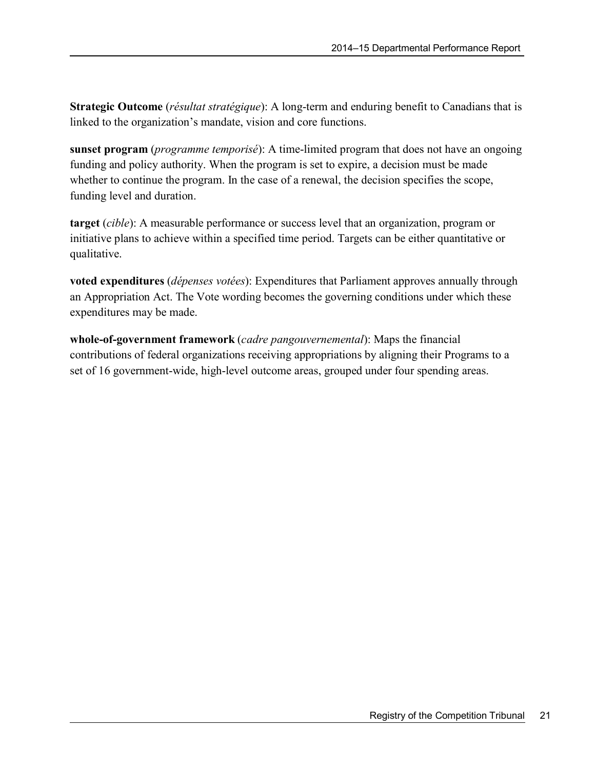**Strategic Outcome** (*résultat stratégique*): A long-term and enduring benefit to Canadians that is linked to the organization's mandate, vision and core functions.

**sunset program** (*programme temporisé*): A time-limited program that does not have an ongoing funding and policy authority. When the program is set to expire, a decision must be made whether to continue the program. In the case of a renewal, the decision specifies the scope, funding level and duration.

**target** (*cible*): A measurable performance or success level that an organization, program or initiative plans to achieve within a specified time period. Targets can be either quantitative or qualitative.

**voted expenditures** (*dépenses votées*): Expenditures that Parliament approves annually through an Appropriation Act. The Vote wording becomes the governing conditions under which these expenditures may be made.

**whole-of-government framework** (*cadre pangouvernemental*): Maps the financial contributions of federal organizations receiving appropriations by aligning their Programs to a set of 16 government-wide, high-level outcome areas, grouped under four spending areas.